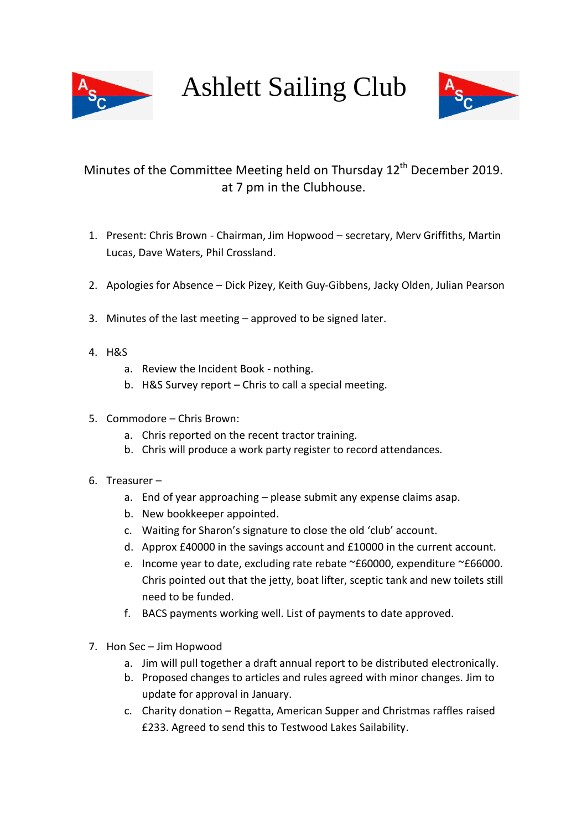

Ashlett Sailing Club



## Minutes of the Committee Meeting held on Thursday 12<sup>th</sup> December 2019. at 7 pm in the Clubhouse.

- 1. Present: Chris Brown Chairman, Jim Hopwood secretary, Merv Griffiths, Martin Lucas, Dave Waters, Phil Crossland.
- 2. Apologies for Absence Dick Pizey, Keith Guy-Gibbens, Jacky Olden, Julian Pearson
- 3. Minutes of the last meeting approved to be signed later.
- 4. H&S
	- a. Review the Incident Book nothing.
	- b. H&S Survey report Chris to call a special meeting.
- 5. Commodore Chris Brown:
	- a. Chris reported on the recent tractor training.
	- b. Chris will produce a work party register to record attendances.
- 6. Treasurer
	- a. End of year approaching please submit any expense claims asap.
	- b. New bookkeeper appointed.
	- c. Waiting for Sharon's signature to close the old 'club' account.
	- d. Approx £40000 in the savings account and £10000 in the current account.
	- e. Income year to date, excluding rate rebate ~£60000, expenditure ~£66000. Chris pointed out that the jetty, boat lifter, sceptic tank and new toilets still need to be funded.
	- f. BACS payments working well. List of payments to date approved.
- 7. Hon Sec Jim Hopwood
	- a. Jim will pull together a draft annual report to be distributed electronically.
	- b. Proposed changes to articles and rules agreed with minor changes. Jim to update for approval in January.
	- c. Charity donation Regatta, American Supper and Christmas raffles raised £233. Agreed to send this to Testwood Lakes Sailability.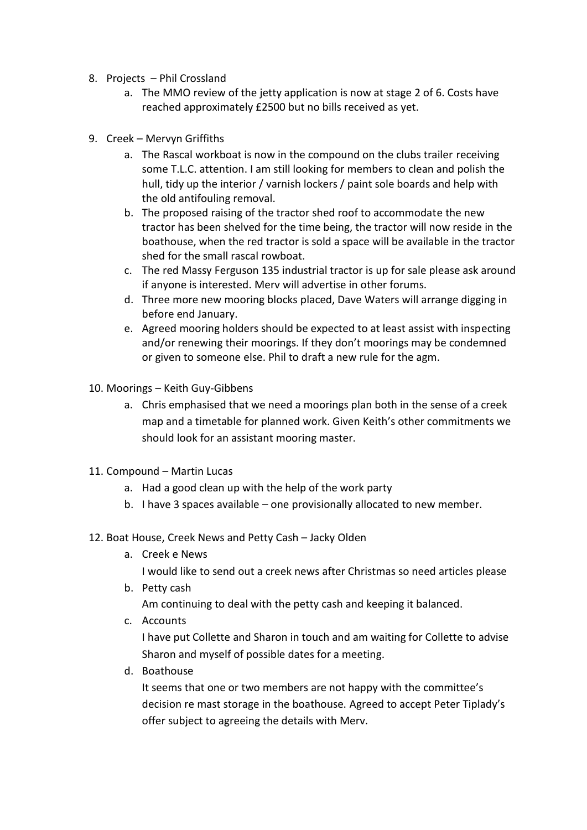- 8. Projects Phil Crossland
	- a. The MMO review of the jetty application is now at stage 2 of 6. Costs have reached approximately £2500 but no bills received as yet.
- 9. Creek Mervyn Griffiths
	- a. The Rascal workboat is now in the compound on the clubs trailer receiving some T.L.C. attention. I am still looking for members to clean and polish the hull, tidy up the interior / varnish lockers / paint sole boards and help with the old antifouling removal.
	- b. The proposed raising of the tractor shed roof to accommodate the new tractor has been shelved for the time being, the tractor will now reside in the boathouse, when the red tractor is sold a space will be available in the tractor shed for the small rascal rowboat.
	- c. The red Massy Ferguson 135 industrial tractor is up for sale please ask around if anyone is interested. Merv will advertise in other forums.
	- d. Three more new mooring blocks placed, Dave Waters will arrange digging in before end January.
	- e. Agreed mooring holders should be expected to at least assist with inspecting and/or renewing their moorings. If they don't moorings may be condemned or given to someone else. Phil to draft a new rule for the agm.
- 10. Moorings Keith Guy-Gibbens
	- a. Chris emphasised that we need a moorings plan both in the sense of a creek map and a timetable for planned work. Given Keith's other commitments we should look for an assistant mooring master.
- 11. Compound Martin Lucas
	- a. Had a good clean up with the help of the work party
	- b. I have 3 spaces available one provisionally allocated to new member.
- 12. Boat House, Creek News and Petty Cash Jacky Olden
	- a. Creek e News

I would like to send out a creek news after Christmas so need articles please

b. Petty cash

Am continuing to deal with the petty cash and keeping it balanced.

c. Accounts

I have put Collette and Sharon in touch and am waiting for Collette to advise Sharon and myself of possible dates for a meeting.

d. Boathouse

It seems that one or two members are not happy with the committee's decision re mast storage in the boathouse. Agreed to accept Peter Tiplady's offer subject to agreeing the details with Merv.